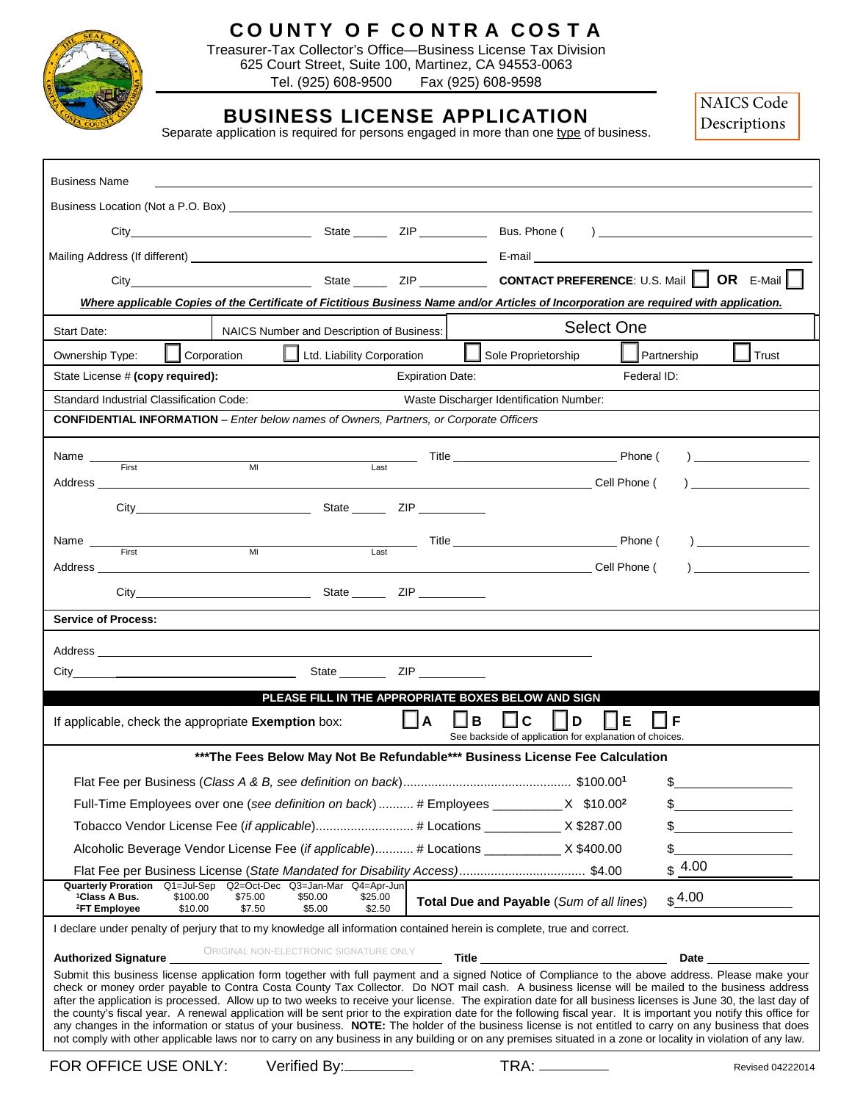

# **C O UNTY O F CO NTR A COS T A**

Treasurer-Tax Collector's Office—Business License Tax Division 625 Court Street, Suite 100, Martinez, CA 94553-0063 Tel. (925) 608-9500 Fax (925) 608-9598

# **BUSINESS LICENSE APPLICATION**

[NAICS Code](https://www.contracosta.ca.gov/DocumentCenter/View/52305/NAICS-Code-Summaries-PDF?bidId=)  Descriptions

|  |  | Separate application is required for persons engaged in more than one type of business. |  |
|--|--|-----------------------------------------------------------------------------------------|--|
|  |  |                                                                                         |  |
|  |  |                                                                                         |  |
|  |  |                                                                                         |  |

| <b>Business Name</b>                                                                                                                                                                                                                                                                                                                                                                                                                                                                                                                                                                                                                                                                                                                                                                                                                                                                                                                                                  |                                                                              |                                                  |                         |         |                                                                                                                                                                                                                                    |                   |                                                                                                                 |                  |  |  |
|-----------------------------------------------------------------------------------------------------------------------------------------------------------------------------------------------------------------------------------------------------------------------------------------------------------------------------------------------------------------------------------------------------------------------------------------------------------------------------------------------------------------------------------------------------------------------------------------------------------------------------------------------------------------------------------------------------------------------------------------------------------------------------------------------------------------------------------------------------------------------------------------------------------------------------------------------------------------------|------------------------------------------------------------------------------|--------------------------------------------------|-------------------------|---------|------------------------------------------------------------------------------------------------------------------------------------------------------------------------------------------------------------------------------------|-------------------|-----------------------------------------------------------------------------------------------------------------|------------------|--|--|
| Business Location (Not a P.O. Box) and the state of the state of the state of the state of the state of the state of the state of the state of the state of the state of the state of the state of the state of the state of t                                                                                                                                                                                                                                                                                                                                                                                                                                                                                                                                                                                                                                                                                                                                        |                                                                              |                                                  |                         |         |                                                                                                                                                                                                                                    |                   |                                                                                                                 |                  |  |  |
|                                                                                                                                                                                                                                                                                                                                                                                                                                                                                                                                                                                                                                                                                                                                                                                                                                                                                                                                                                       |                                                                              |                                                  |                         |         |                                                                                                                                                                                                                                    |                   |                                                                                                                 |                  |  |  |
|                                                                                                                                                                                                                                                                                                                                                                                                                                                                                                                                                                                                                                                                                                                                                                                                                                                                                                                                                                       |                                                                              |                                                  |                         |         |                                                                                                                                                                                                                                    |                   |                                                                                                                 |                  |  |  |
|                                                                                                                                                                                                                                                                                                                                                                                                                                                                                                                                                                                                                                                                                                                                                                                                                                                                                                                                                                       |                                                                              |                                                  |                         |         |                                                                                                                                                                                                                                    |                   |                                                                                                                 |                  |  |  |
| Where applicable Copies of the Certificate of Fictitious Business Name and/or Articles of Incorporation are required with application.                                                                                                                                                                                                                                                                                                                                                                                                                                                                                                                                                                                                                                                                                                                                                                                                                                |                                                                              |                                                  |                         |         |                                                                                                                                                                                                                                    |                   |                                                                                                                 |                  |  |  |
| Start Date:                                                                                                                                                                                                                                                                                                                                                                                                                                                                                                                                                                                                                                                                                                                                                                                                                                                                                                                                                           | NAICS Number and Description of Business:                                    |                                                  |                         |         |                                                                                                                                                                                                                                    | <b>Select One</b> |                                                                                                                 |                  |  |  |
| Ownership Type:                                                                                                                                                                                                                                                                                                                                                                                                                                                                                                                                                                                                                                                                                                                                                                                                                                                                                                                                                       | Corporation                                                                  | $\boxed{\phantom{a}}$ Ltd. Liability Corporation |                         | H       | Sole Proprietorship                                                                                                                                                                                                                |                   | Partnership                                                                                                     | Trust            |  |  |
| State License # (copy required):                                                                                                                                                                                                                                                                                                                                                                                                                                                                                                                                                                                                                                                                                                                                                                                                                                                                                                                                      |                                                                              |                                                  | <b>Expiration Date:</b> |         |                                                                                                                                                                                                                                    | Federal ID:       |                                                                                                                 |                  |  |  |
| Standard Industrial Classification Code:<br>Waste Discharger Identification Number:                                                                                                                                                                                                                                                                                                                                                                                                                                                                                                                                                                                                                                                                                                                                                                                                                                                                                   |                                                                              |                                                  |                         |         |                                                                                                                                                                                                                                    |                   |                                                                                                                 |                  |  |  |
| <b>CONFIDENTIAL INFORMATION</b> – Enter below names of Owners, Partners, or Corporate Officers                                                                                                                                                                                                                                                                                                                                                                                                                                                                                                                                                                                                                                                                                                                                                                                                                                                                        |                                                                              |                                                  |                         |         |                                                                                                                                                                                                                                    |                   |                                                                                                                 |                  |  |  |
|                                                                                                                                                                                                                                                                                                                                                                                                                                                                                                                                                                                                                                                                                                                                                                                                                                                                                                                                                                       |                                                                              |                                                  |                         |         | MI Last Title Phone (                                                                                                                                                                                                              |                   |                                                                                                                 |                  |  |  |
| Name <b>Eirst Name</b>                                                                                                                                                                                                                                                                                                                                                                                                                                                                                                                                                                                                                                                                                                                                                                                                                                                                                                                                                |                                                                              |                                                  |                         |         | <b>Cell Phone</b> (                                                                                                                                                                                                                |                   |                                                                                                                 | $\overline{a}$   |  |  |
| Address                                                                                                                                                                                                                                                                                                                                                                                                                                                                                                                                                                                                                                                                                                                                                                                                                                                                                                                                                               |                                                                              |                                                  |                         |         |                                                                                                                                                                                                                                    |                   |                                                                                                                 |                  |  |  |
|                                                                                                                                                                                                                                                                                                                                                                                                                                                                                                                                                                                                                                                                                                                                                                                                                                                                                                                                                                       |                                                                              |                                                  |                         |         |                                                                                                                                                                                                                                    |                   |                                                                                                                 |                  |  |  |
| Name $\_\_$                                                                                                                                                                                                                                                                                                                                                                                                                                                                                                                                                                                                                                                                                                                                                                                                                                                                                                                                                           |                                                                              |                                                  |                         |         |                                                                                                                                                                                                                                    |                   | $\sum_{i=1}^{n}$                                                                                                |                  |  |  |
| Address __                                                                                                                                                                                                                                                                                                                                                                                                                                                                                                                                                                                                                                                                                                                                                                                                                                                                                                                                                            |                                                                              |                                                  |                         |         | <b>Cell Phone</b> (                                                                                                                                                                                                                |                   |                                                                                                                 | $\mathcal{L}$    |  |  |
|                                                                                                                                                                                                                                                                                                                                                                                                                                                                                                                                                                                                                                                                                                                                                                                                                                                                                                                                                                       |                                                                              |                                                  |                         |         |                                                                                                                                                                                                                                    |                   |                                                                                                                 |                  |  |  |
| <b>Service of Process:</b>                                                                                                                                                                                                                                                                                                                                                                                                                                                                                                                                                                                                                                                                                                                                                                                                                                                                                                                                            |                                                                              |                                                  |                         |         |                                                                                                                                                                                                                                    |                   |                                                                                                                 |                  |  |  |
|                                                                                                                                                                                                                                                                                                                                                                                                                                                                                                                                                                                                                                                                                                                                                                                                                                                                                                                                                                       |                                                                              |                                                  |                         |         |                                                                                                                                                                                                                                    |                   |                                                                                                                 |                  |  |  |
|                                                                                                                                                                                                                                                                                                                                                                                                                                                                                                                                                                                                                                                                                                                                                                                                                                                                                                                                                                       |                                                                              |                                                  |                         |         |                                                                                                                                                                                                                                    |                   |                                                                                                                 |                  |  |  |
|                                                                                                                                                                                                                                                                                                                                                                                                                                                                                                                                                                                                                                                                                                                                                                                                                                                                                                                                                                       |                                                                              |                                                  |                         |         | PLEASE FILL IN THE APPROPRIATE BOXES BELOW AND SIGN                                                                                                                                                                                |                   |                                                                                                                 |                  |  |  |
| If applicable, check the appropriate Exemption box:                                                                                                                                                                                                                                                                                                                                                                                                                                                                                                                                                                                                                                                                                                                                                                                                                                                                                                                   |                                                                              |                                                  | ∐A                      | B<br>LΙ | $\Box$ c<br>D<br>See backside of application for explanation of choices.                                                                                                                                                           | E                 | ∐∣F                                                                                                             |                  |  |  |
|                                                                                                                                                                                                                                                                                                                                                                                                                                                                                                                                                                                                                                                                                                                                                                                                                                                                                                                                                                       | *** The Fees Below May Not Be Refundable*** Business License Fee Calculation |                                                  |                         |         |                                                                                                                                                                                                                                    |                   |                                                                                                                 |                  |  |  |
|                                                                                                                                                                                                                                                                                                                                                                                                                                                                                                                                                                                                                                                                                                                                                                                                                                                                                                                                                                       |                                                                              |                                                  |                         |         |                                                                                                                                                                                                                                    |                   | -SS                                                                                                             |                  |  |  |
| Full-Time Employees over one (see definition on back)  # Employees _______________________ X \$10.002                                                                                                                                                                                                                                                                                                                                                                                                                                                                                                                                                                                                                                                                                                                                                                                                                                                                 |                                                                              |                                                  |                         |         |                                                                                                                                                                                                                                    |                   |                                                                                                                 |                  |  |  |
| Tobacco Vendor License Fee (if applicable) # Locations ____________ X \$287.00                                                                                                                                                                                                                                                                                                                                                                                                                                                                                                                                                                                                                                                                                                                                                                                                                                                                                        |                                                                              |                                                  |                         |         |                                                                                                                                                                                                                                    |                   | $\frac{1}{\sqrt{2}}$                                                                                            |                  |  |  |
| Alcoholic Beverage Vendor License Fee (if applicable) # Locations ____________ X \$400.00                                                                                                                                                                                                                                                                                                                                                                                                                                                                                                                                                                                                                                                                                                                                                                                                                                                                             |                                                                              |                                                  |                         |         |                                                                                                                                                                                                                                    |                   | \$                                                                                                              |                  |  |  |
| Quarterly Proration Q1=Jul-Sep Q2=Oct-Dec Q3=Jan-Mar Q4=Apr-Jun                                                                                                                                                                                                                                                                                                                                                                                                                                                                                                                                                                                                                                                                                                                                                                                                                                                                                                       |                                                                              |                                                  |                         |         |                                                                                                                                                                                                                                    |                   | \$4.00                                                                                                          |                  |  |  |
| <sup>1</sup> Class A Bus.<br>\$100.00<br><sup>2</sup> FT Employee<br>\$10.00                                                                                                                                                                                                                                                                                                                                                                                                                                                                                                                                                                                                                                                                                                                                                                                                                                                                                          | \$75.00<br>\$7.50                                                            | \$50.00<br>\$25.00<br>\$5.00                     | \$2.50                  |         | Total Due and Payable (Sum of all lines)                                                                                                                                                                                           |                   | \$4.00                                                                                                          |                  |  |  |
| I declare under penalty of perjury that to my knowledge all information contained herein is complete, true and correct.                                                                                                                                                                                                                                                                                                                                                                                                                                                                                                                                                                                                                                                                                                                                                                                                                                               |                                                                              |                                                  |                         |         |                                                                                                                                                                                                                                    |                   |                                                                                                                 |                  |  |  |
| <b>Authorized Signature</b>                                                                                                                                                                                                                                                                                                                                                                                                                                                                                                                                                                                                                                                                                                                                                                                                                                                                                                                                           | ORIGINAL NON-ELECTRONIC SIGNATURE ONLY                                       |                                                  |                         |         | <b>Title The Community of the Community of the Community of the Community of the Community of the Community of the Community of the Community of the Community of the Community of the Community of the Community of the Commu</b> |                   | Date and the state of the state of the state of the state of the state of the state of the state of the state o |                  |  |  |
| Submit this business license application form together with full payment and a signed Notice of Compliance to the above address. Please make your<br>check or money order payable to Contra Costa County Tax Collector. Do NOT mail cash. A business license will be mailed to the business address<br>after the application is processed. Allow up to two weeks to receive your license. The expiration date for all business licenses is June 30, the last day of<br>the county's fiscal year. A renewal application will be sent prior to the expiration date for the following fiscal year. It is important you notify this office for<br>any changes in the information or status of your business. NOTE: The holder of the business license is not entitled to carry on any business that does<br>not comply with other applicable laws nor to carry on any business in any building or on any premises situated in a zone or locality in violation of any law. |                                                                              |                                                  |                         |         |                                                                                                                                                                                                                                    |                   |                                                                                                                 |                  |  |  |
| FOR OFFICE USE ONLY:                                                                                                                                                                                                                                                                                                                                                                                                                                                                                                                                                                                                                                                                                                                                                                                                                                                                                                                                                  |                                                                              | Verified By:                                     |                         |         |                                                                                                                                                                                                                                    |                   |                                                                                                                 | Revised 04222014 |  |  |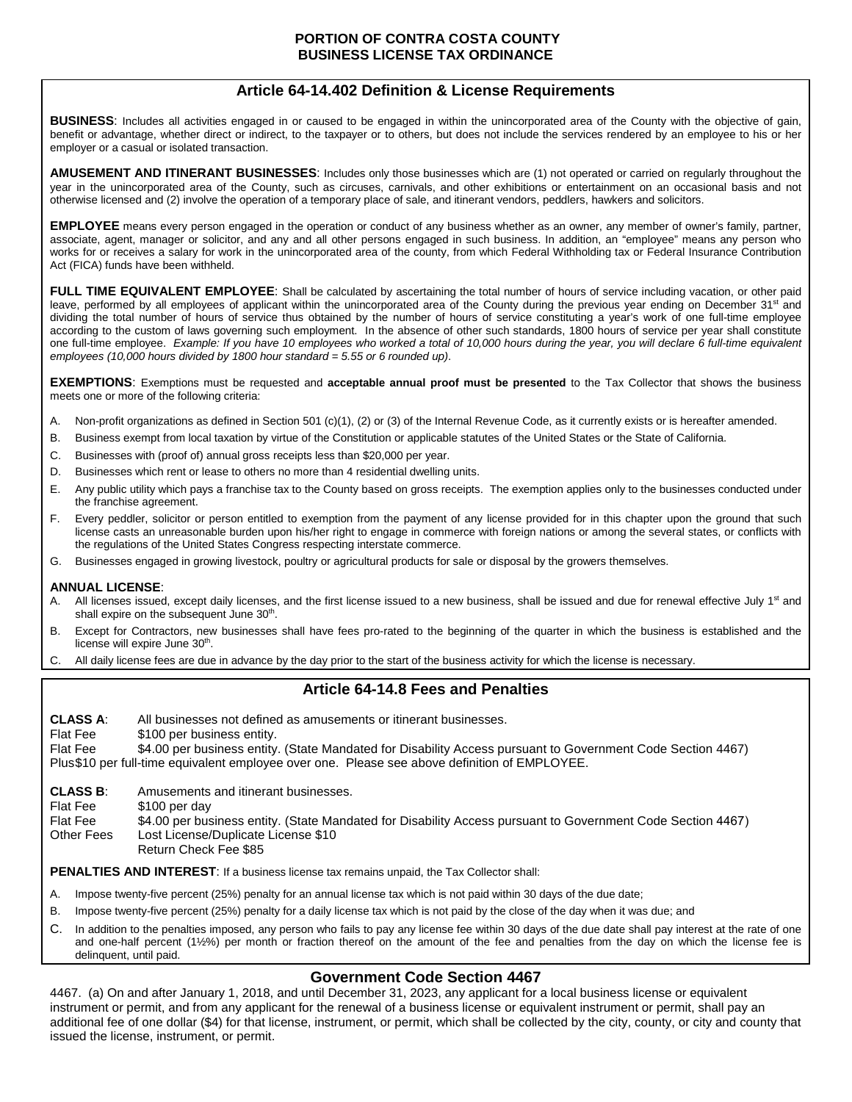# **Article 64-14.402 Definition & License Requirements**

**BUSINESS**: Includes all activities engaged in or caused to be engaged in within the unincorporated area of the County with the objective of gain, benefit or advantage, whether direct or indirect, to the taxpayer or to others, but does not include the services rendered by an employee to his or her employer or a casual or isolated transaction.

**AMUSEMENT AND ITINERANT BUSINESSES**: Includes only those businesses which are (1) not operated or carried on regularly throughout the year in the unincorporated area of the County, such as circuses, carnivals, and other exhibitions or entertainment on an occasional basis and not otherwise licensed and (2) involve the operation of a temporary place of sale, and itinerant vendors, peddlers, hawkers and solicitors.

**EMPLOYEE** means every person engaged in the operation or conduct of any business whether as an owner, any member of owner's family, partner, associate, agent, manager or solicitor, and any and all other persons engaged in such business. In addition, an "employee" means any person who works for or receives a salary for work in the unincorporated area of the county, from which Federal Withholding tax or Federal Insurance Contribution Act (FICA) funds have been withheld.

FULL TIME EQUIVALENT EMPLOYEE: Shall be calculated by ascertaining the total number of hours of service including vacation, or other paid leave, performed by all employees of applicant within the unincorporated area of the County during the previous year ending on December  $31<sup>st</sup>$  and dividing the total number of hours of service thus obtained by the number of hours of service constituting a year's work of one full-time employee according to the custom of laws governing such employment. In the absence of other such standards, 1800 hours of service per year shall constitute one full-time employee. *Example: If you have 10 employees who worked a total of 10,000 hours during the year, you will declare 6 full-time equivalent employees (10,000 hours divided by 1800 hour standard = 5.55 or 6 rounded up)*.

**EXEMPTIONS**: Exemptions must be requested and **acceptable annual proof must be presented** to the Tax Collector that shows the business meets one or more of the following criteria:

- A. Non-profit organizations as defined in Section 501 (c)(1), (2) or (3) of the Internal Revenue Code, as it currently exists or is hereafter amended.
- B. Business exempt from local taxation by virtue of the Constitution or applicable statutes of the United States or the State of California.
- C. Businesses with (proof of) annual gross receipts less than \$20,000 per year.
- D. Businesses which rent or lease to others no more than 4 residential dwelling units.
- E. Any public utility which pays a franchise tax to the County based on gross receipts. The exemption applies only to the businesses conducted under the franchise agreement.
- F. Every peddler, solicitor or person entitled to exemption from the payment of any license provided for in this chapter upon the ground that such license casts an unreasonable burden upon his/her right to engage in commerce with foreign nations or among the several states, or conflicts with the regulations of the United States Congress respecting interstate commerce.
- G. Businesses engaged in growing livestock, poultry or agricultural products for sale or disposal by the growers themselves.

#### **ANNUAL LICENSE**:

- A. All licenses issued, except daily licenses, and the first license issued to a new business, shall be issued and due for renewal effective July 1<sup>st</sup> and shall expire on the subsequent June 30<sup>th</sup>.
- B. Except for Contractors, new businesses shall have fees pro-rated to the beginning of the quarter in which the business is established and the license will expire June 30<sup>th</sup>.
- C. All daily license fees are due in advance by the day prior to the start of the business activity for which the license is necessary.

### **Article 64-14.8 Fees and Penalties**

**CLASS A**: All businesses not defined as amusements or itinerant businesses. Flat Fee \$100 per business entity. Flat Fee \$4.00 per business entity. (State Mandated for Disability Access pursuant to Government Code Section 4467) Plus \$10 per full-time equivalent employee over one. Please see above definition of EMPLOYEE.

**CLASS B**: Amusements and itinerant businesses.

- Flat Fee \$100 per day
- Flat Fee<br>Other Fees \$4.00 per business entity. (State Mandated for Disability Access pursuant to Government Code Section 4467) Lost License/Duplicate License \$10
- Return Check Fee \$85

**PENALTIES AND INTEREST**: If a business license tax remains unpaid, the Tax Collector shall:

- A. Impose twenty-five percent (25%) penalty for an annual license tax which is not paid within 30 days of the due date;
- B. Impose twenty-five percent (25%) penalty for a daily license tax which is not paid by the close of the day when it was due; and
- C. In addition to the penalties imposed, any person who fails to pay any license fee within 30 days of the due date shall pay interest at the rate of one and one-half percent (1½%) per month or fraction thereof on the amount of the fee and penalties from the day on which the license fee is delinquent, until paid.

## **Government Code Section 4467**

4467. (a) On and after January 1, 2018, and until December 31, 2023, any applicant for a local business license or equivalent instrument or permit, and from any applicant for the renewal of a business license or equivalent instrument or permit, shall pay an additional fee of one dollar (\$4) for that license, instrument, or permit, which shall be collected by the city, county, or city and county that issued the license, instrument, or permit.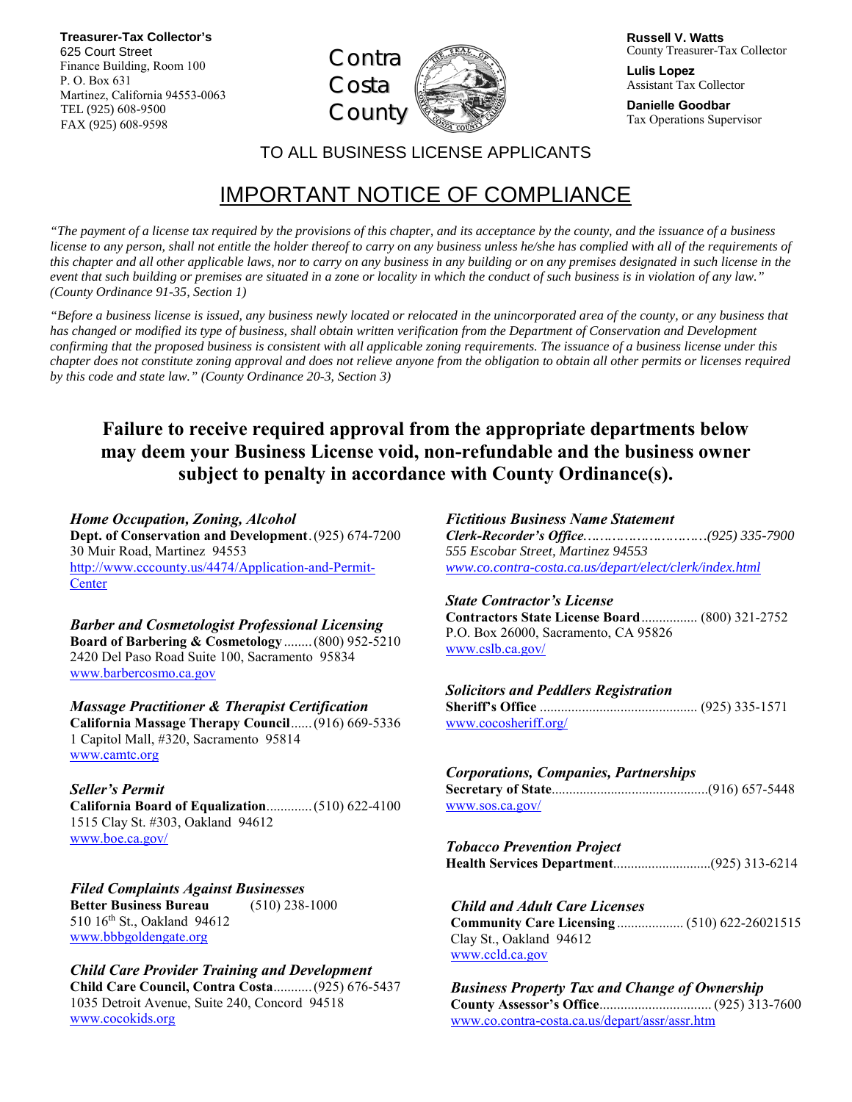**Treasurer-Tax Collector's**  625 Court Street Finance Building, Room 100 P. O. Box 631 Martinez, California 94553-0063 TEL (925) 608-9500 FAX (925) 608-9598



**Russell V. Watts** County Treasurer-Tax Collector

**Lulis Lopez**  Assistant Tax Collector

**Danielle Goodbar** Tax Operations Supervisor

TO ALL BUSINESS LICENSE APPLICANTS

# IMPORTANT NOTICE OF COMPLIANCE

*"The payment of a license tax required by the provisions of this chapter, and its acceptance by the county, and the issuance of a business license to any person, shall not entitle the holder thereof to carry on any business unless he/she has complied with all of the requirements of this chapter and all other applicable laws, nor to carry on any business in any building or on any premises designated in such license in the event that such building or premises are situated in a zone or locality in which the conduct of such business is in violation of any law.*" *(County Ordinance 91-35, Section 1)*

*"Before a business license is issued, any business newly located or relocated in the unincorporated area of the county, or any business that has changed or modified its type of business, shall obtain written verification from the Department of Conservation and Development confirming that the proposed business is consistent with all applicable zoning requirements. The issuance of a business license under this chapter does not constitute zoning approval and does not relieve anyone from the obligation to obtain all other permits or licenses required by this code and state law." (County Ordinance 20-3, Section 3)* 

# **Failure to receive required approval from the appropriate departments below may deem your Business License void, non-refundable and the business owner subject to penalty in accordance with County Ordinance(s).**

*Home Occupation, Zoning, Alcohol*  **Dept. of Conservation and Development** . (925) 674-7200 30 Muir Road, Martinez 94553 http://www.cccounty.us/4474/Application-and-Permit-**Center** 

*Barber and Cosmetologist Professional Licensing*  **Board of Barbering & Cosmetology** ........(800) 952-5210 2420 Del Paso Road Suite 100, Sacramento 95834 www.barbercosmo.ca.gov

*Massage Practitioner & Therapist Certification* **California Massage Therapy Council**......(916) 669-5336 1 Capitol Mall, #320, Sacramento 95814 www.camtc.org

*Seller's Permit*  **California Board of Equalization**.............(510) 622-4100 1515 Clay St. #303, Oakland 94612 www.boe.ca.gov/

*Filed Complaints Against Businesses* **Better Business Bureau** (510) 238-1000 510 16th St., Oakland 94612 www.bbbgoldengate.org

## *Child Care Provider Training and Development*

**Child Care Council, Contra Costa**...........(925) 676-5437 1035 Detroit Avenue, Suite 240, Concord 94518 www.cocokids.org

*Fictitious Business Name Statement Clerk-Recorder's Office…………………………(925) 335-7900 555 Escobar Street, Martinez 94553 www.co.contra-costa.ca.us/depart/elect/clerk/index.html*

### *State Contractor's License*

**Contractors State License Board**................ (800) 321-2752 P.O. Box 26000, Sacramento, CA 95826 www.cslb.ca.gov/

#### *Solicitors and Peddlers Registration*

**Sheriff's Office** ............................................. (925) 335-1571 www.cocosheriff.org/

#### *Corporations, Companies, Partnerships*  **Secretary of State**.............................................(916) 657-5448

www.sos.ca.gov/

*Tobacco Prevention Project*  **Health Services Department**............................(925) 313-6214

## *Child and Adult Care Licenses*

**Community Care Licensing** ................... (510) 622-26021515 Clay St., Oakland 94612 www.ccld.ca.gov

*Business Property Tax and Change of Ownership* **County Assessor's Office**................................ (925) 313-7600 www.co.contra-costa.ca.us/depart/assr/assr.htm